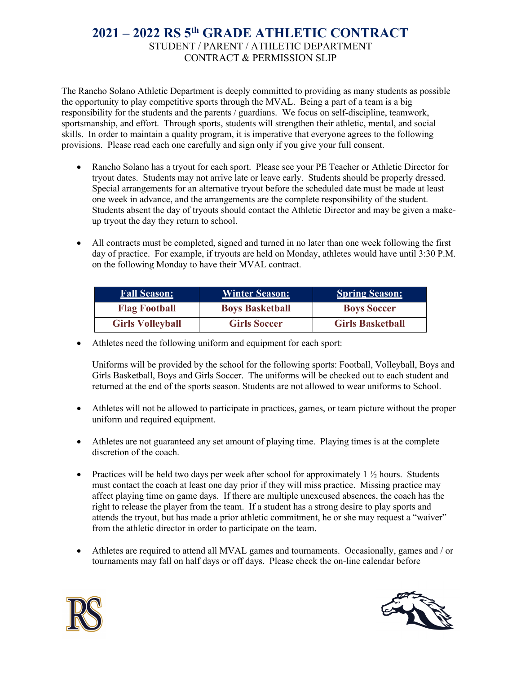## **2021 – 2022 RS 5th GRADE ATHLETIC CONTRACT** STUDENT / PARENT / ATHLETIC DEPARTMENT CONTRACT & PERMISSION SLIP

The Rancho Solano Athletic Department is deeply committed to providing as many students as possible the opportunity to play competitive sports through the MVAL. Being a part of a team is a big responsibility for the students and the parents / guardians. We focus on self-discipline, teamwork, sportsmanship, and effort. Through sports, students will strengthen their athletic, mental, and social skills. In order to maintain a quality program, it is imperative that everyone agrees to the following provisions. Please read each one carefully and sign only if you give your full consent.

- Rancho Solano has a tryout for each sport. Please see your PE Teacher or Athletic Director for tryout dates. Students may not arrive late or leave early. Students should be properly dressed. Special arrangements for an alternative tryout before the scheduled date must be made at least one week in advance, and the arrangements are the complete responsibility of the student. Students absent the day of tryouts should contact the Athletic Director and may be given a makeup tryout the day they return to school.
- All contracts must be completed, signed and turned in no later than one week following the first day of practice. For example, if tryouts are held on Monday, athletes would have until 3:30 P.M. on the following Monday to have their MVAL contract.

| <b>Fall Season:</b>     | <b>Winter Season:</b>  | <b>Spring Season:</b>   |
|-------------------------|------------------------|-------------------------|
| <b>Flag Football</b>    | <b>Boys Basketball</b> | <b>Boys Soccer</b>      |
| <b>Girls Volleyball</b> | <b>Girls Soccer</b>    | <b>Girls Basketball</b> |

• Athletes need the following uniform and equipment for each sport:

Uniforms will be provided by the school for the following sports: Football, Volleyball, Boys and Girls Basketball, Boys and Girls Soccer. The uniforms will be checked out to each student and returned at the end of the sports season. Students are not allowed to wear uniforms to School.

- Athletes will not be allowed to participate in practices, games, or team picture without the proper uniform and required equipment.
- Athletes are not guaranteed any set amount of playing time. Playing times is at the complete discretion of the coach.
- Practices will be held two days per week after school for approximately  $1\frac{1}{2}$  hours. Students must contact the coach at least one day prior if they will miss practice. Missing practice may affect playing time on game days. If there are multiple unexcused absences, the coach has the right to release the player from the team. If a student has a strong desire to play sports and attends the tryout, but has made a prior athletic commitment, he or she may request a "waiver" from the athletic director in order to participate on the team.
- Athletes are required to attend all MVAL games and tournaments. Occasionally, games and / or tournaments may fall on half days or off days. Please check the on-line calendar before



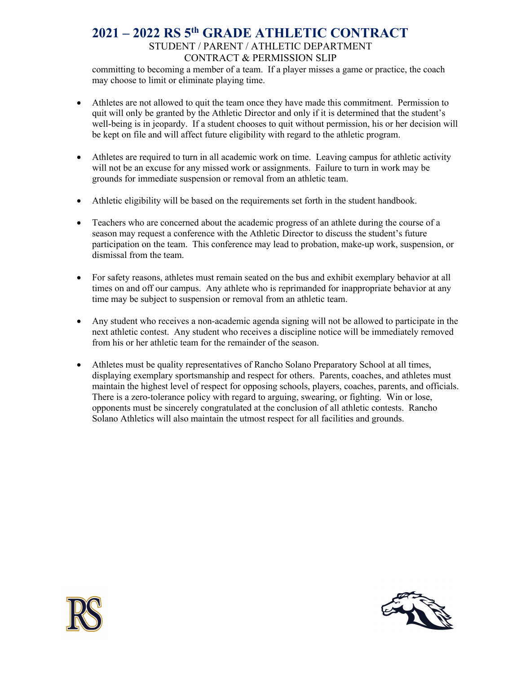## **2021 – 2022 RS 5th GRADE ATHLETIC CONTRACT** STUDENT / PARENT / ATHLETIC DEPARTMENT CONTRACT & PERMISSION SLIP

committing to becoming a member of a team. If a player misses a game or practice, the coach may choose to limit or eliminate playing time.

- Athletes are not allowed to quit the team once they have made this commitment. Permission to quit will only be granted by the Athletic Director and only if it is determined that the student's well-being is in jeopardy. If a student chooses to quit without permission, his or her decision will be kept on file and will affect future eligibility with regard to the athletic program.
- Athletes are required to turn in all academic work on time. Leaving campus for athletic activity will not be an excuse for any missed work or assignments. Failure to turn in work may be grounds for immediate suspension or removal from an athletic team.
- Athletic eligibility will be based on the requirements set forth in the student handbook.
- Teachers who are concerned about the academic progress of an athlete during the course of a season may request a conference with the Athletic Director to discuss the student's future participation on the team. This conference may lead to probation, make-up work, suspension, or dismissal from the team.
- For safety reasons, athletes must remain seated on the bus and exhibit exemplary behavior at all times on and off our campus. Any athlete who is reprimanded for inappropriate behavior at any time may be subject to suspension or removal from an athletic team.
- Any student who receives a non-academic agenda signing will not be allowed to participate in the next athletic contest. Any student who receives a discipline notice will be immediately removed from his or her athletic team for the remainder of the season.
- Athletes must be quality representatives of Rancho Solano Preparatory School at all times, displaying exemplary sportsmanship and respect for others. Parents, coaches, and athletes must maintain the highest level of respect for opposing schools, players, coaches, parents, and officials. There is a zero-tolerance policy with regard to arguing, swearing, or fighting. Win or lose, opponents must be sincerely congratulated at the conclusion of all athletic contests. Rancho Solano Athletics will also maintain the utmost respect for all facilities and grounds.